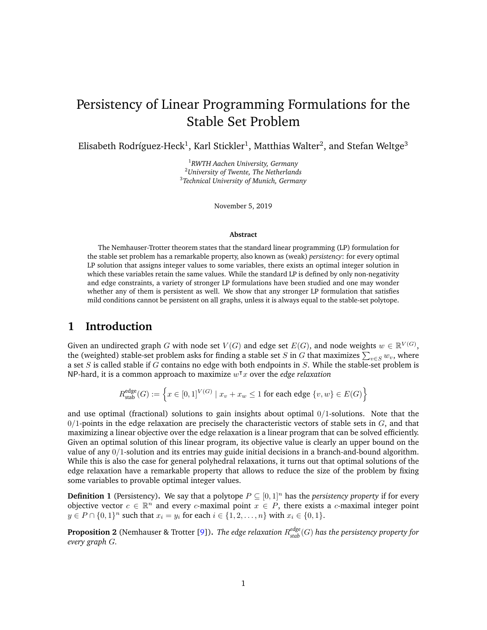# Persistency of Linear Programming Formulations for the Stable Set Problem

Elisabeth Rodríguez-Heck $^1$ , Karl Stickler $^1$ , Matthias Walter $^2$ , and Stefan Weltge $^3$ 

<sup>1</sup>*RWTH Aachen University, Germany* <sup>2</sup>*University of Twente, The Netherlands* 3 *Technical University of Munich, Germany*

November 5, 2019

#### **Abstract**

The Nemhauser-Trotter theorem states that the standard linear programming (LP) formulation for the stable set problem has a remarkable property, also known as (weak) *persistency*: for every optimal LP solution that assigns integer values to some variables, there exists an optimal integer solution in which these variables retain the same values. While the standard LP is defined by only non-negativity and edge constraints, a variety of stronger LP formulations have been studied and one may wonder whether any of them is persistent as well. We show that any stronger LP formulation that satisfies mild conditions cannot be persistent on all graphs, unless it is always equal to the stable-set polytope.

## **1 Introduction**

Given an undirected graph G with node set  $V(G)$  and edge set  $E(G)$ , and node weights  $w \in \mathbb{R}^{V(G)}$ , the (weighted) stable-set problem asks for finding a stable set  $S$  in  $G$  that maximizes  $\sum_{v\in S}w_v$ , where a set S is called stable if G contains no edge with both endpoints in S. While the stable-set problem is NP-hard, it is a common approach to maximize  $w^{\dagger}x$  over the *edge relaxation* 

$$
R_{\text{stab}}^{\text{edge}}(G) := \left\{ x \in [0,1]^{V(G)} \mid x_v + x_w \le 1 \text{ for each edge } \{v, w\} \in E(G) \right\}
$$

and use optimal (fractional) solutions to gain insights about optimal  $0/1$ -solutions. Note that the  $0/1$ -points in the edge relaxation are precisely the characteristic vectors of stable sets in  $G$ , and that maximizing a linear objective over the edge relaxation is a linear program that can be solved efficiently. Given an optimal solution of this linear program, its objective value is clearly an upper bound on the value of any 0/1-solution and its entries may guide initial decisions in a branch-and-bound algorithm. While this is also the case for general polyhedral relaxations, it turns out that optimal solutions of the edge relaxation have a remarkable property that allows to reduce the size of the problem by fixing some variables to provable optimal integer values.

**Definition 1** (Persistency). We say that a polytope  $P \subseteq [0, 1]^n$  has the *persistency property* if for every objective vector  $c \in \mathbb{R}^n$  and every c-maximal point  $x \in P$ , there exists a c-maximal integer point  $y \in P \cap \{0, 1\}^n$  such that  $x_i = y_i$  for each  $i \in \{1, 2, ..., n\}$  with  $x_i \in \{0, 1\}$ .

<span id="page-0-0"></span>**Proposition 2** (Nemhauser & Trotter [\[9\]](#page-13-0))**.** *The edge relaxation* R *edge stab* (G) *has the persistency property for every graph* G*.*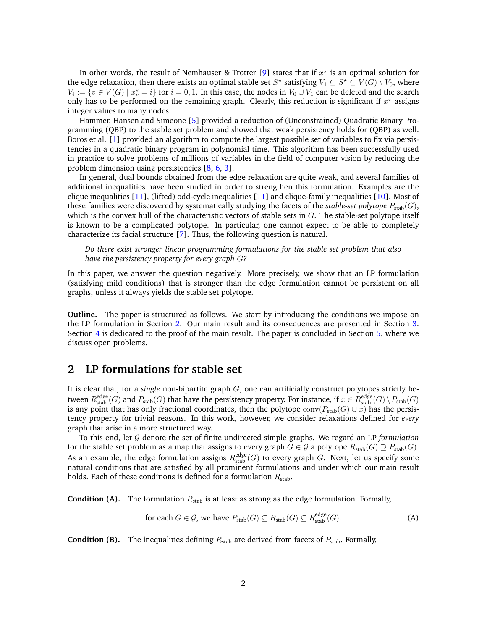In other words, the result of Nemhauser & Trotter [\[9\]](#page-13-0) states that if  $x^*$  is an optimal solution for the edge relaxation, then there exists an optimal stable set  $S^\star$  satisfying  $V_1\subseteq S^\star\subseteq V(G)\setminus V_0$ , where  $V_i := \{v \in V(G) \mid x_v^* = i\}$  for  $i = 0, 1$ . In this case, the nodes in  $V_0 \cup V_1$  can be deleted and the search only has to be performed on the remaining graph. Clearly, this reduction is significant if  $x^*$  assigns integer values to many nodes.

Hammer, Hansen and Simeone [\[5\]](#page-12-0) provided a reduction of (Unconstrained) Quadratic Binary Programming (QBP) to the stable set problem and showed that weak persistency holds for (QBP) as well. Boros et al. [\[1\]](#page-12-1) provided an algorithm to compute the largest possible set of variables to fix via persistencies in a quadratic binary program in polynomial time. This algorithm has been successfully used in practice to solve problems of millions of variables in the field of computer vision by reducing the problem dimension using persistencies [\[8,](#page-13-1) [6,](#page-12-2) [3\]](#page-12-3).

In general, dual bounds obtained from the edge relaxation are quite weak, and several families of additional inequalities have been studied in order to strengthen this formulation. Examples are the clique inequalities [\[11\]](#page-13-2), (lifted) odd-cycle inequalities [\[11\]](#page-13-2) and clique-family inequalities [\[10\]](#page-13-3). Most of these families were discovered by systematically studying the facets of the *stable-set polytope*  $P_{stab}(G)$ , which is the convex hull of the characteristic vectors of stable sets in  $G$ . The stable-set polytope itself is known to be a complicated polytope. In particular, one cannot expect to be able to completely characterize its facial structure [\[7\]](#page-13-4). Thus, the following question is natural.

*Do there exist stronger linear programming formulations for the stable set problem that also have the persistency property for every graph* G*?*

In this paper, we answer the question negatively. More precisely, we show that an LP formulation (satisfying mild conditions) that is stronger than the edge formulation cannot be persistent on all graphs, unless it always yields the stable set polytope.

**Outline.** The paper is structured as follows. We start by introducing the conditions we impose on the LP formulation in Section [2.](#page-1-0) Our main result and its consequences are presented in Section [3.](#page-3-0) Section [4](#page-4-0) is dedicated to the proof of the main result. The paper is concluded in Section [5,](#page-12-4) where we discuss open problems.

## <span id="page-1-0"></span>**2 LP formulations for stable set**

It is clear that, for a *single* non-bipartite graph G, one can artificially construct polytopes strictly between  $R_{\text{stab}}^{\text{edge}}(G)$  and  $P_{\text{stab}}(G)$  that have the persistency property. For instance, if  $x \in R_{\text{stab}}^{\text{edge}}(G) \setminus P_{\text{stab}}(G)$ is any point that has only fractional coordinates, then the polytope  $\mathrm{conv}(P_{\text{stab}}(G) \cup x)$  has the persistency property for trivial reasons. In this work, however, we consider relaxations defined for *every* graph that arise in a more structured way.

To this end, let G denote the set of finite undirected simple graphs. We regard an LP *formulation* for the stable set problem as a map that assigns to every graph  $G \in \mathcal{G}$  a polytope  $R_{stab}(G) \supseteq P_{stab}(G)$ . As an example, the edge formulation assigns  $R^{\text{edge}}_{\text{stab}}(G)$  to every graph  $G$ . Next, let us specify some natural conditions that are satisfied by all prominent formulations and under which our main result holds. Each of these conditions is defined for a formulation  $R_{stab}$ .

**Condition (A).** The formulation  $R_{stab}$  is at least as strong as the edge formulation. Formally,

<span id="page-1-1"></span>for each 
$$
G \in \mathcal{G}
$$
, we have  $P_{\text{stab}}(G) \subseteq R_{\text{stab}}(G) \subseteq R_{\text{stab}}^{\text{edge}}(G)$ . (A)

**Condition (B).** The inequalities defining  $R_{stab}$  are derived from facets of  $P_{stab}$ . Formally,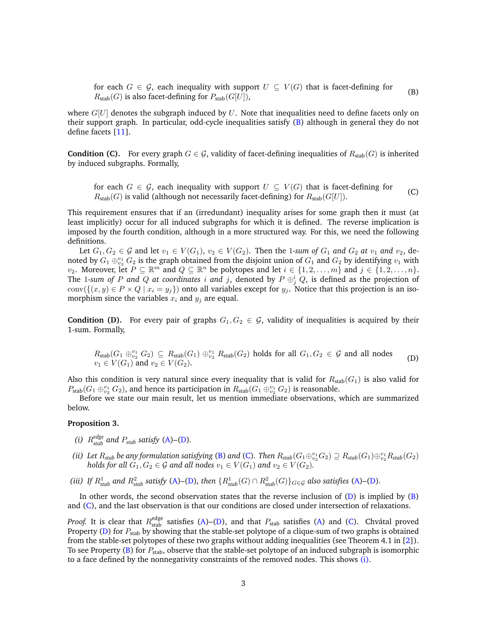<span id="page-2-0"></span>for each  $G \in \mathcal{G}$ , each inequality with support  $U \subseteq V(G)$  that is facet-defining for  $R_{\text{stab}}(G)$  is also facet-defining for  $P_{\text{stab}}(G[U])$ , (B)

where  $G[U]$  denotes the subgraph induced by U. Note that inequalities need to define facets only on their support graph. In particular, odd-cycle inequalities satisfy [\(B\)](#page-2-0) although in general they do not define facets [\[11\]](#page-13-2).

**Condition (C).** For every graph  $G \in \mathcal{G}$ , validity of facet-defining inequalities of  $R_{stab}(G)$  is inherited by induced subgraphs. Formally,

<span id="page-2-2"></span>for each  $G \in \mathcal{G}$ , each inequality with support  $U \subseteq V(G)$  that is facet-defining for  $R_{\text{stab}}(G)$  is valid (although not necessarily facet-defining) for  $R_{\text{stab}}(G[U])$ . (C)

This requirement ensures that if an (irredundant) inequality arises for some graph then it must (at least implicitly) occur for all induced subgraphs for which it is defined. The reverse implication is imposed by the fourth condition, although in a more structured way. For this, we need the following definitions.

Let  $G_1, G_2 \in \mathcal{G}$  and let  $v_1 \in V(G_1), v_2 \in V(G_2)$ . Then the 1-sum of  $G_1$  and  $G_2$  at  $v_1$  and  $v_2$ , denoted by  $G_1 \oplus_{v_2}^{v_1} G_2$  is the graph obtained from the disjoint union of  $G_1$  and  $G_2$  by identifying  $v_1$  with  $v_2$ . Moreover, let  $P \subseteq \mathbb{R}^m$  and  $Q \subseteq \mathbb{R}^n$  be polytopes and let  $i \in \{1, 2, \ldots, m\}$  and  $j \in \{1, 2, \ldots, n\}$ . The 1-sum of  $P$  and  $Q$  at coordinates  $i$  and  $j$ , denoted by  $P \oplus_j^i Q$ , is defined as the projection of conv $(\{(x, y) \in P \times Q \mid x_i = y_j\})$  onto all variables except for  $y_j$ . Notice that this projection is an isomorphism since the variables  $x_i$  and  $y_j$  are equal.

**Condition (D).** For every pair of graphs  $G_1, G_2 \in \mathcal{G}$ , validity of inequalities is acquired by their 1-sum. Formally,

<span id="page-2-1"></span>
$$
R_{\text{stab}}(G_1 \oplus_{v_2}^{v_1} G_2) \subseteq R_{\text{stab}}(G_1) \oplus_{v_2}^{v_1} R_{\text{stab}}(G_2) \text{ holds for all } G_1, G_2 \in \mathcal{G} \text{ and all nodes } v_1 \in V(G_1) \text{ and } v_2 \in V(G_2).
$$
 (D)

Also this condition is very natural since every inequality that is valid for  $R_{stab}(G_1)$  is also valid for  $P_{\rm stab}(G_1 \oplus_{v_2}^{v_1} G_2)$ , and hence its participation in  $R_{\rm stab}(G_1 \oplus_{v_2}^{v_1} G_2)$  is reasonable.

Before we state our main result, let us mention immediate observations, which are summarized below.

#### <span id="page-2-6"></span>**Proposition 3.**

- <span id="page-2-3"></span>*(i)*  $R_{stab}^{edge}$  *and*  $P_{stab}$  *satisfy* [\(A\)](#page-1-1)–[\(D\)](#page-2-1).
- <span id="page-2-4"></span>*(ii)* Let  $R_{stab}$  be any formulation satisfying [\(B\)](#page-2-0) and [\(C\)](#page-2-2). Then  $R_{stab}(G_1\oplus_{v_2}^{v_1}G_2)\supseteq R_{stab}(G_1)\oplus_{v_2}^{v_1}R_{stab}(G_2)$ *holds for all*  $G_1, G_2 \in \mathcal{G}$  *and all nodes*  $v_1 \in V(G_1)$  *and*  $v_2 \in V(G_2)$ *.*
- <span id="page-2-5"></span>(iii) If  $R_{stab}^1$  and  $R_{stab}^2$  satisfy [\(A\)](#page-1-1)–[\(D\)](#page-2-1), then  $\{R_{stab}^1(G) \cap R_{stab}^2(G)\}_{G \in \mathcal{G}}$  also satisfies (A)–(D).

In other words, the second observation states that the reverse inclusion of  $(D)$  is implied by  $(B)$ and [\(C\)](#page-2-2), and the last observation is that our conditions are closed under intersection of relaxations.

*Proof.* It is clear that  $R_{\text{stab}}^{\text{edge}}$  satisfies [\(A\)](#page-1-1)–[\(D\)](#page-2-1), and that  $P_{\text{stab}}$  satisfies (A) and [\(C\)](#page-2-2). Chvátal proved Property [\(D\)](#page-2-1) for  $P_{\text{stab}}$  by showing that the stable-set polytope of a clique-sum of two graphs is obtained from the stable-set polytopes of these two graphs without adding inequalities (see Theorem 4.1 in [\[2\]](#page-12-5)). To see Property [\(B\)](#page-2-0) for  $P_{\text{stab}}$ , observe that the stable-set polytope of an induced subgraph is isomorphic to a face defined by the nonnegativity constraints of the removed nodes. This shows [\(i\).](#page-2-3)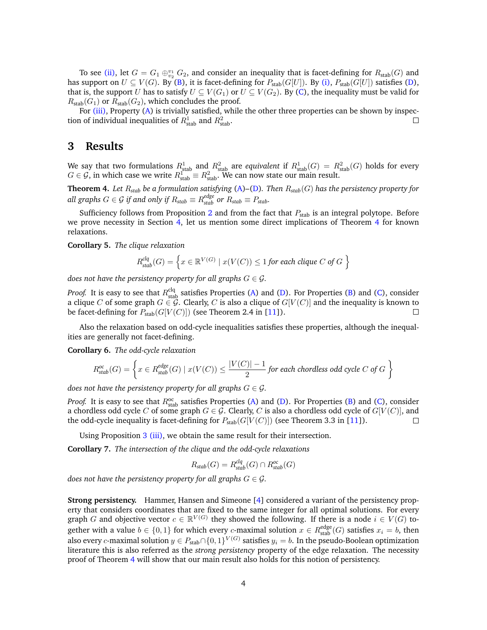To see [\(ii\),](#page-2-4) let  $G = G_1 \oplus_{v_2}^{v_1} G_2$ , and consider an inequality that is facet-defining for  $R_{stab}(G)$  and has support on  $U \subseteq V(G)$ . By [\(B\)](#page-2-0), it is facet-defining for  $P_{stab}(G[U])$ . By [\(i\),](#page-2-3)  $P_{stab}(G[U])$  satisfies [\(D\)](#page-2-1), that is, the support U has to satisfy  $U \subseteq V(G_1)$  or  $U \subseteq V(G_2)$ . By [\(C\)](#page-2-2), the inequality must be valid for  $R_{\text{stab}}(G_1)$  or  $R_{\text{stab}}(G_2)$ , which concludes the proof.

For [\(iii\),](#page-2-5) Property [\(A\)](#page-1-1) is trivially satisfied, while the other three properties can be shown by inspection of individual inequalities of  $R_{\text{stab}}^1$  and  $R_{\text{stab}}^2$ .  $\Box$ 

## <span id="page-3-0"></span>**3 Results**

We say that two formulations  $R^1_{\rm stab}$  and  $R^2_{\rm stab}$  are *equivalent* if  $R^1_{\rm stab}(G) = R^2_{\rm stab}(G)$  holds for every  $G \in \mathcal{G}$ , in which case we write  $R_{\text{stab}}^1 \equiv R_{\text{stab}}^2$ . We can now state our main result.

<span id="page-3-1"></span>**Theorem 4.** *Let* R*stab be a formulation satisfying* [\(A\)](#page-1-1)*–*[\(D\)](#page-2-1)*. Then* R*stab*(G) *has the persistency property for all graphs*  $G \in \mathcal{G}$  *if and only if*  $R_{stab} \equiv R^{edge}_{stab}$  *or*  $R_{stab} \equiv P_{stab}$ *.* 

Sufficiency follows from Proposition [2](#page-0-0) and from the fact that  $P_{stab}$  is an integral polytope. Before we prove necessity in Section [4,](#page-4-0) let us mention some direct implications of Theorem [4](#page-3-1) for known relaxations.

**Corollary 5.** *The clique relaxation*

$$
R_{stab}^{clq}(G) = \left\{ x \in \mathbb{R}^{V(G)} \mid x(V(C)) \le 1 \text{ for each clique } C \text{ of } G \right\}
$$

*does not have the persistency property for all graphs*  $G \in \mathcal{G}$ *.* 

*Proof.* It is easy to see that  $R_{\text{stab}}^{\text{clq}}$  satisfies Properties [\(A\)](#page-1-1) and [\(D\)](#page-2-1). For Properties [\(B\)](#page-2-0) and [\(C\)](#page-2-2), consider a clique C of some graph  $G \in \mathcal{G}$ . Clearly, C is also a clique of  $G[V(C)]$  and the inequality is known to be facet-defining for  $P_{stab}(G[V(C)])$  (see Theorem 2.4 in [\[11\]](#page-13-2)).  $\Box$ 

Also the relaxation based on odd-cycle inequalities satisfies these properties, although the inequalities are generally not facet-defining.

**Corollary 6.** *The odd-cycle relaxation*

$$
R_{stab}^{oc}(G) = \left\{ x \in R_{stab}^{edge}(G) \mid x(V(C)) \le \frac{|V(C)| - 1}{2} \text{ for each chordless odd cycle } C \text{ of } G \right\}
$$

*does not have the persistency property for all graphs*  $G \in \mathcal{G}$ *.* 

*Proof.* It is easy to see that  $R_{\text{stab}}^{\text{oc}}$  satisfies Properties [\(A\)](#page-1-1) and [\(D\)](#page-2-1). For Properties [\(B\)](#page-2-0) and [\(C\)](#page-2-2), consider a chordless odd cycle C of some graph  $G \in \mathcal{G}$ . Clearly, C is also a chordless odd cycle of  $G[V(C)]$ , and the odd-cycle inequality is facet-defining for  $P_{stab}(G[V(C)])$  (see Theorem 3.3 in [\[11\]](#page-13-2)).  $\Box$ 

Using Proposition [3](#page-2-6) [\(iii\),](#page-2-5) we obtain the same result for their intersection.

**Corollary 7.** *The intersection of the clique and the odd-cycle relaxations*

$$
R_{stab}(G) = R_{stab}^{clq}(G) \cap R_{stab}^{oc}(G)
$$

*does not have the persistency property for all graphs*  $G \in \mathcal{G}$ *.* 

**Strong persistency.** Hammer, Hansen and Simeone [\[4\]](#page-12-6) considered a variant of the persistency property that considers coordinates that are fixed to the same integer for all optimal solutions. For every graph G and objective vector  $c \in \mathbb{R}^{V(G)}$  they showed the following. If there is a node  $i \in V(G)$  together with a value  $b \in \{0,1\}$  for which every *c*-maximal solution  $x \in R_{stab}^{edge}(G)$  satisfies  $x_i = b$ , then also every  $c$ -maximal solution  $y \in P_{\text{stab}} \cap \{0,1\}^{V(G)}$  satisfies  $y_i = b.$  In the pseudo-Boolean optimization literature this is also referred as the *strong persistency* property of the edge relaxation. The necessity proof of Theorem [4](#page-3-1) will show that our main result also holds for this notion of persistency.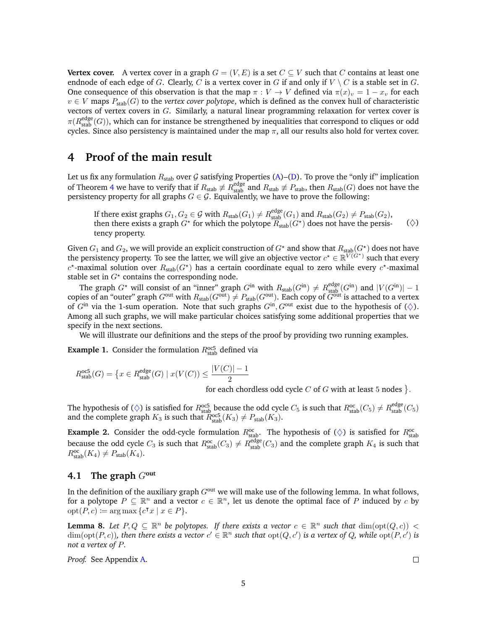**Vertex cover.** A vertex cover in a graph  $G = (V, E)$  is a set  $C \subseteq V$  such that C contains at least one endnode of each edge of G. Clearly, C is a vertex cover in G if and only if  $V \setminus C$  is a stable set in G. One consequence of this observation is that the map  $\pi : V \to V$  defined via  $\pi(x)_v = 1 - x_v$  for each  $v \in V$  maps  $P_{stab}(G)$  to the *vertex cover polytope*, which is defined as the convex hull of characteristic vectors of vertex covers in  $G$ . Similarly, a natural linear programming relaxation for vertex cover is  $\pi(R_{\text{stab}}^{\text{edge}}(G))$ , which can for instance be strengthened by inequalities that correspond to cliques or odd cycles. Since also persistency is maintained under the map  $\pi$ , all our results also hold for vertex cover.

## <span id="page-4-0"></span>**4 Proof of the main result**

Let us fix any formulation  $R_{stab}$  over G satisfying Properties [\(A\)](#page-1-1)–[\(D\)](#page-2-1). To prove the "only if" implication of Theorem [4](#page-3-1) we have to verify that if  $R_{stab} \not\equiv R_{stab}^{edge}$  and  $R_{stab} \not\equiv P_{stab}$ , then  $R_{stab}(G)$  does not have the persistency property for all graphs  $G \in \mathcal{G}$ . Equivalently, we have to prove the following:

If there exist graphs  $G_1, G_2 \in \mathcal{G}$  with  $R_{stab}(G_1) \neq R_{stab}^{edge}(G_1)$  and  $R_{stab}(G_2) \neq P_{stab}(G_2)$ , then there exists a graph  $G^\star$  for which the polytope  $\widetilde{R}_{\text{stab}}(G^\star)$  does not have the persistency property.  $(\diamondsuit)$ 

Given  $G_1$  and  $G_2$ , we will provide an explicit construction of  $G^*$  and show that  $R_{stab}(G^*)$  does not have the persistency property. To see the latter, we will give an objective vector  $c^* \in \mathbb{R}^{\widetilde{V}(G^*)}$  such that every  $c^*$ -maximal solution over  $R_{stab}(G^*)$  has a certain coordinate equal to zero while every  $c^*$ -maximal stable set in  $G^*$  contains the corresponding node.

The graph  $G^*$  will consist of an "inner" graph  $G^{in}$  with  $R_{stab}(G^{in}) \neq R_{stab}^{edge}(G^{in})$  and  $|V(G^{in})| - 1$ copies of an "outer" graph  $G^{\text{out}}$  with  $R_{\text{stab}}(G^{\text{out}}) \neq P_{\text{stab}}(G^{\text{out}})$ . Each copy of  $\widetilde{G}^{\text{out}}$  is attached to a vertex of  $G<sup>in</sup>$  via the 1-sum operation. Note that such graphs  $G<sup>in</sup>$ ,  $G<sup>out</sup>$  exist due to the hypothesis of  $(\diamondsuit)$ . Among all such graphs, we will make particular choices satisfying some additional properties that we specify in the next sections.

We will illustrate our definitions and the steps of the proof by providing two running examples.

<span id="page-4-3"></span>**Example 1.** Consider the formulation  $R_{\text{stab}}^{\text{o}c5}$  defined via

$$
R_{\text{stab}}^{\text{occ5}}(G) = \left\{ x \in R_{\text{stab}}^{\text{edge}}(G) \mid x(V(C)) \le \frac{|V(C)| - 1}{2} \right\}
$$

<span id="page-4-1"></span>for each chordless odd cycle  $C$  of  $G$  with at least 5 nodes  $\}$ .

The hypothesis of ( $\diamond$ ) is satisfied for  $R_{\text{stab}}^{\text{oc5}}$  because the odd cycle  $C_5$  is such that  $R_{\text{stab}}^{\text{oc}}(C_5) \neq R_{\text{stab}}^{\text{edge}}(C_5)$ and the complete graph  $K_3$  is such that  $\mathbb{R}_{\text{stab}}^{\text{occ5}}(K_3) \neq \mathbb{P}_{\text{stab}}(K_3)$ .

<span id="page-4-4"></span>**Example 2.** Consider the odd-cycle formulation  $R_{stab}^{oc}$ . The hypothesis of  $(\diamondsuit)$  is satisfied for  $R_{stab}^{oc}$ because the odd cycle  $C_3$  is such that  $R_{\text{stab}}^{\text{oc}}(C_3) \neq R_{\text{stab}}^{\text{edge}}(C_3)$  and the complete graph  $K_4$  is such that  $R_{\text{stab}}^{\text{oc}}(K_4) \neq P_{\text{stab}}(K_4).$ 

#### **4.1** The graph  $G^{\text{out}}$

In the definition of the auxiliary graph  $G<sup>out</sup>$  we will make use of the following lemma. In what follows, for a polytope  $P \subseteq \mathbb{R}^n$  and a vector  $c \in \mathbb{R}^n$ , let us denote the optimal face of P induced by c by  $\mathrm{opt}(P,c) := \arg \max \{c^{\intercal} x \mid x \in P\}.$ 

<span id="page-4-2"></span>**Lemma 8.** Let  $P, Q \subseteq \mathbb{R}^n$  be polytopes. If there exists a vector  $c \in \mathbb{R}^n$  such that  $\dim(\text{opt}(Q, c)) <$  $\dim(\text{opt}(P, c))$ , then there exists a vector  $c' \in \mathbb{R}^n$  such that  $\text{opt}(Q, c')$  is a vertex of Q, while  $\text{opt}(P, c')$  is *not a vertex of* P*.*

*Proof.* See Appendix [A.](#page-13-5)

 $\Box$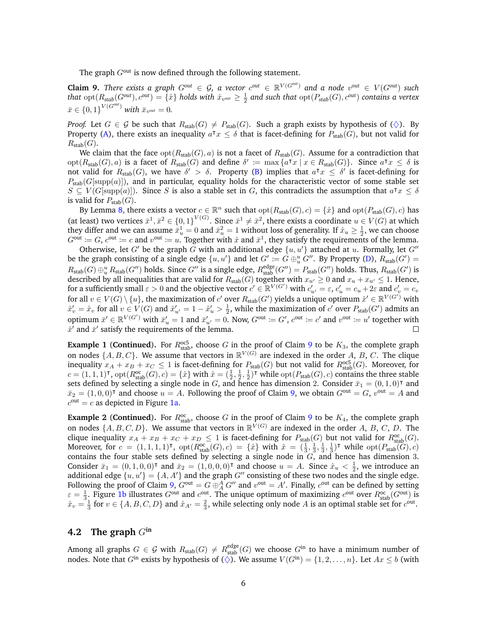The graph  $G<sup>out</sup>$  is now defined through the following statement.

<span id="page-5-0"></span>**Claim 9.** There exists a graph  $G^{out} \in \mathcal{G}$ , a vector  $c^{out} \in \mathbb{R}^{V(G^{out})}$  and a node  $v^{out} \in V(G^{out})$  such  $t$ hat  ${\rm opt}(R_{stab}(G^{\rm out}),c^{\rm out})=\{\hat x\}$  holds with  $\hat x_{v^{\rm out}}\geq \frac12$  and such that  ${\rm opt}(P_{stab}(G),c^{\rm out})$  contains a vertex  $\bar{x} \in \{0, 1\}^{V(G^{out})}$  with  $\bar{x}_{v^{out}} = 0$ .

*Proof.* Let  $G \in \mathcal{G}$  be such that  $R_{stab}(G) \neq P_{stab}(G)$ . Such a graph exists by hypothesis of  $(\diamondsuit)$ . By Property [\(A\)](#page-1-1), there exists an inequality  $a^{\intercal} x \leq \delta$  that is facet-defining for  $P_{\text{stab}}(G)$ , but not valid for  $R_{\text{stab}}(G)$ .

We claim that the face  $opt(R_{stab}(G), a)$  is not a facet of  $R_{stab}(G)$ . Assume for a contradiction that  $\text{opt}(R_{\text{stab}}(G), a)$  is a facet of  $R_{\text{stab}}(G)$  and define  $\delta' := \max \{a^{\intercal}x \mid x \in R_{\text{stab}}(G)\}\$ . Since  $a^{\intercal}x \leq \delta$  is not valid for  $R_{stab}(G)$ , we have  $\delta' > \delta$ . Property [\(B\)](#page-2-0) implies that  $a^{\intercal} x \leq \delta'$  is facet-defining for  $P_{\text{stab}}(G[\text{supp}(a)])$ , and in particular, equality holds for the characteristic vector of some stable set  $S \subseteq V(G[\text{supp}(a)])$ . Since S is also a stable set in G, this contradicts the assumption that  $a^{\intercal}x \leq \delta$ is valid for  $P_{stab}(G)$ .

By Lemma [8,](#page-4-2) there exists a vector  $c \in \mathbb{R}^n$  such that  $\text{opt}(R_{\text{stab}}(G), c) = \{\hat{x}\}\$  and  $\text{opt}(P_{\text{stab}}(G), c)$  has (at least) two vertices  $\bar{x}^1, \bar{x}^2 \in \{0,1\}^{V(G)}$ . Since  $\bar{x}^1 \neq \bar{x}^2$ , there exists a coordinate  $u \in V(G)$  at which they differ and we can assume  $\bar{x}_u^1 = 0$  and  $\bar{x}_u^2 = 1$  without loss of generality. If  $\hat{x}_u \ge \frac{1}{2}$ , we can choose  $G^{\text{out}} := G$ ,  $c^{\text{out}} := c$  and  $v^{\text{out}} := u$ . Together with  $\hat{x}$  and  $\bar{x}^1$ , they satisfy the requirements of the lemma.

Otherwise, let G' be the graph G with an additional edge  $\{u, u'\}$  attached at u. Formally, let G'' be the graph consisting of a single edge  $\{u, u'\}$  and let  $G' := G \oplus_u^u G''$ . By Property [\(D\)](#page-2-1),  $R_{stab}(G') =$  $R_{stab}(G) \oplus_u^u R_{stab}(G'')$  holds. Since  $G''$  is a single edge,  $R_{stab}^{edge}(G'') = P_{stab}(G'')$  holds. Thus,  $R_{stab}(G')$  is described by all inequalities that are valid for  $R_{stab}(G)$  together with  $x_{u'} \geq 0$  and  $x_u + x_{u'} \leq 1$ . Hence, for a sufficiently small  $\varepsilon > 0$  and the objective vector  $c' \in \mathbb{R}^{V(G')}$  with  $c'_{u'} = \varepsilon$ ,  $c'_{u} = c_u + 2\varepsilon$  and  $c'_{v} = c_v$ for all  $v \in V(G) \setminus \{u\}$ , the maximization of  $c'$  over  $R_{stab}(G')$  yields a unique optimum  $\hat{x}' \in \mathbb{R}^{V(G')}$  with  $\hat{x}'_v = \hat{x}_v$  for all  $v \in V(G)$  and  $\hat{x}'_{u'} = 1 - \hat{x}'_u > \frac{1}{2}$ , while the maximization of  $c'$  over  $P_{stab}(G')$  admits an optimum  $\bar{x}' \in \mathbb{R}^{V(G')}$  with  $\bar{x}'_u = 1$  and  $\bar{x}'_{u'} = 0$ . Now,  $G^{out} := G'$ ,  $c^{out} := c'$  and  $v^{out} := u'$  together with  $\hat{x}'$  and  $\bar{x}'$  satisfy the requirements of the lemma.

**Example 1** (**Continued**). For  $R_{\text{stab}}^{\text{occ5}}$ , choose G in the proof of Claim [9](#page-5-0) to be  $K_3$ , the complete graph on nodes  $\{A, B, C\}$ . We assume that vectors in  $\mathbb{R}^{V(G)}$  are indexed in the order A, B, C. The clique inequality  $x_A + x_B + x_C \leq 1$  is facet-defining for  $P_{stab}(G)$  but not valid for  $R_{stab}^{occ5}(G)$ . Moreover, for  $c = (1, 1, 1)^\intercal$ ,  $\mathrm{opt}(R_{\text{stab}}^{oc}(G), c) = \{\hat{x}\}\$  with  $\hat{x} = (\frac{1}{2}, \frac{1}{2}, \frac{1}{2})^\intercal$  while  $\mathrm{opt}(P_{\text{stab}}(G), c)$  contains the three stable sets defined by selecting a single node in G, and hence has dimension 2. Consider  $\bar{x}_1 = (0, 1, 0)^\intercal$  and  $\bar{x}_2 = (1, 0, 0)^\intercal$  and choose  $u = A$ . Following the proof of Claim [9,](#page-5-0) we obtain  $G^{\text{out}} = G$ ,  $v^{\text{out}} = A$  and  $c<sup>out</sup> = c$  as depicted in Figure [1a.](#page-6-0)

**Example 2** (**Continued**). For  $R_{\text{stab}}^{\text{oc}}$ , choose G in the proof of Claim [9](#page-5-0) to be  $K_4$ , the complete graph on nodes  $\{A, B, C, D\}$ . We assume that vectors in  $\mathbb{R}^{V(G)}$  are indexed in the order A, B, C, D. The clique inequality  $x_A + x_B + x_C + x_D \leq 1$  is facet-defining for  $P_{stab}(G)$  but not valid for  $R_{stab}^{oc}(G)$ . Moreover, for  $c = (1, 1, 1, 1)^\intercal$ ,  $\text{opt}(R_{\text{stab}}^{\text{occ}}(G), c) = \{\hat{x}\}\$  with  $\hat{x} = (\frac{1}{3}, \frac{1}{3}, \frac{1}{3}, \frac{1}{3})^\intercal$  while  $\text{opt}(P_{\text{stab}}(G), c)$ contains the four stable sets defined by selecting a single node in  $G$ , and hence has dimension 3. Consider  $\bar{x}_1 = (0, 1, 0, 0)^\intercal$  and  $\bar{x}_2 = (1, 0, 0, 0)^\intercal$  and choose  $u = A$ . Since  $\hat{x}_u < \frac{1}{2}$ , we introduce an additional edge  $\{u, u'\} = \{A, A'\}$  and the graph G'' consisting of these two nodes and the single edge. Following the proof of Claim [9,](#page-5-0)  $G^{out} = G \oplus^A_A G''$  and  $v^{out} = A'$ . Finally,  $c^{out}$  can be defined by setting  $\varepsilon = \frac{1}{3}$ . Figure [1b](#page-6-1) illustrates  $G^{\text{out}}$  and  $c^{\text{out}}$ . The unique optimum of maximizing  $c^{\text{out}}$  over  $R_{\text{stab}}^{\text{oc}}(G^{\text{out}})$  is  $\hat{x}_v = \frac{1}{3}$  for  $v \in \{A, B, C, D\}$  and  $\hat{x}_{A'} = \frac{2}{3}$ , while selecting only node A is an optimal stable set for  $c^{out}$ .

#### **4.2** The graph  $G^{in}$

Among all graphs  $G \in \mathcal{G}$  with  $R_{stab}(G) \neq R_{stab}^{edge}(G)$  we choose  $G^{in}$  to have a minimum number of nodes. Note that  $G^{in}$  exists by hypothesis of ( $\diamondsuit$ ). We assume  $V(G^{in}) = \{1, 2, \ldots, n\}$ . Let  $Ax \leq b$  (with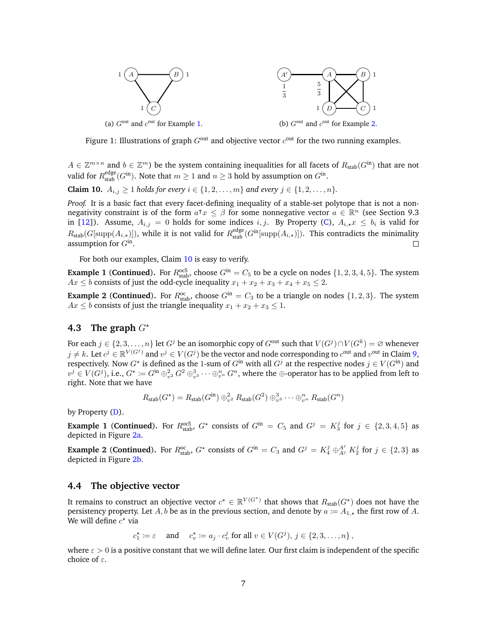<span id="page-6-1"></span>

<span id="page-6-0"></span>Figure 1: Illustrations of graph  $G<sup>out</sup>$  and objective vector  $c<sup>out</sup>$  for the two running examples.

 $A \in \mathbb{Z}^{m \times n}$  and  $b \in \mathbb{Z}^m$ ) be the system containing inequalities for all facets of  $R_{stab}(G^{in})$  that are not valid for  $R^{\text{edge}}_{\text{stab}}(G^{\text{in}})$ . Note that  $m \geq 1$  and  $n \geq 3$  hold by assumption on  $G^{\text{in}}$ .

<span id="page-6-2"></span>**Claim 10.**  $A_{i,j}$  ≥ 1 *holds for every*  $i \in \{1, 2, ..., m\}$  *and every*  $j \in \{1, 2, ..., n\}$ *.* 

*Proof.* It is a basic fact that every facet-defining inequality of a stable-set polytope that is not a nonnegativity constraint is of the form  $a^{\intercal}x \leq \beta$  for some nonnegative vector  $a \in \mathbb{R}^n$  (see Section 9.3 in [\[12\]](#page-13-6)). Assume,  $A_{i,j} = 0$  holds for some indices  $i, j$ . By Property [\(C\)](#page-2-2),  $A_{i,\star} x \leq b_i$  is valid for  $R_{stab}(G[\text{supp}(A_{i,\star})])$ , while it is not valid for  $R_{stab}^{edge}(G^{\text{in}}[\text{supp}(A_{i,\star})])$ . This contradicts the minimality assumption for  $G<sup>in</sup>$ .

For both our examples, Claim [10](#page-6-2) is easy to verify.

**Example 1** (**Continued**). For  $R_{\text{stab}}^{\text{oc5}}$ , choose  $G^{\text{in}} = C_5$  to be a cycle on nodes  $\{1, 2, 3, 4, 5\}$ . The system  $Ax \leq b$  consists of just the odd-cycle inequality  $x_1 + x_2 + x_3 + x_4 + x_5 \leq 2$ .

**Example 2** (**Continued**). For  $R_{\text{stab}}^{\text{oc}}$ , choose  $G^{\text{in}} = C_3$  to be a triangle on nodes  $\{1, 2, 3\}$ . The system  $Ax \leq b$  consists of just the triangle inequality  $x_1 + x_2 + x_3 \leq 1$ .

#### **4.3** The graph  $G^*$

For each  $j \in \{2,3,\ldots,n\}$  let  $G^j$  be an isomorphic copy of  $G^{\text{out}}$  such that  $V(G^j) \cap V(G^k) = \varnothing$  whenever  $j\neq k$ . Let  $c^j\in \mathbb{R}^{V(G^j)}$  and  $v^j\in V(G^j)$  be the vector and node corresponding to  $c^{\text{out}}$  and  $v^{\text{out}}$  in Claim [9,](#page-5-0) respectively. Now  $G^*$  is defined as the 1-sum of  $G^{\text{in}}$  with all  $G^j$  at the respective nodes  $j \in V(G^{\text{in}})$  and  $v^j\in V(G^j),$  i.e.,  $G^\star\coloneqq G^{\text{in}}\oplus_{v^2}^2 G^2\oplus_{v^3}^3\cdots\oplus_{v^n}^n G^n,$  where the  $\oplus$ -operator has to be applied from left to right. Note that we have

$$
R_{\text{stab}}(G^{\star}) = R_{\text{stab}}(G^{\text{in}}) \oplus_{v^2}^2 R_{\text{stab}}(G^2) \oplus_{v^3}^3 \cdots \oplus_{v^n}^n R_{\text{stab}}(G^n)
$$

by Property [\(D\)](#page-2-1).

**Example 1 (Continued).** For  $R_{\text{stab}}^{\text{occ}}$ ,  $G^*$  consists of  $G^{\text{in}} = C_5$  and  $G^j = K_3^j$  for  $j \in \{2,3,4,5\}$  as depicted in Figure [2a.](#page-7-0)

**Example 2** (**Continued**). For  $R_{\text{stab}}^{\text{oc}}$ ,  $G^*$  consists of  $G^{\text{in}} = C_3$  and  $G^j = K_4^j \oplus_{A^j}^{A^j} K_2^j$  for  $j \in \{2,3\}$  as depicted in Figure [2b.](#page-7-1)

### **4.4 The objective vector**

It remains to construct an objective vector  $c^\star \in \mathbb{R}^{V(G^\star)}$  that shows that  $R_{\text{stab}}(G^\star)$  does not have the persistency property. Let A, b be as in the previous section, and denote by  $a := A_{1,\star}$  the first row of A. We will define  $c^*$  via

 $c_1^* \coloneqq \varepsilon \quad \text{ and } \quad c_v^* \coloneqq a_j \cdot c_v^j \text{ for all } v \in V(G^j), j \in \{2, 3, \dots, n\},$ 

<span id="page-6-3"></span>where  $\varepsilon > 0$  is a positive constant that we will define later. Our first claim is independent of the specific choice of  $\varepsilon$ .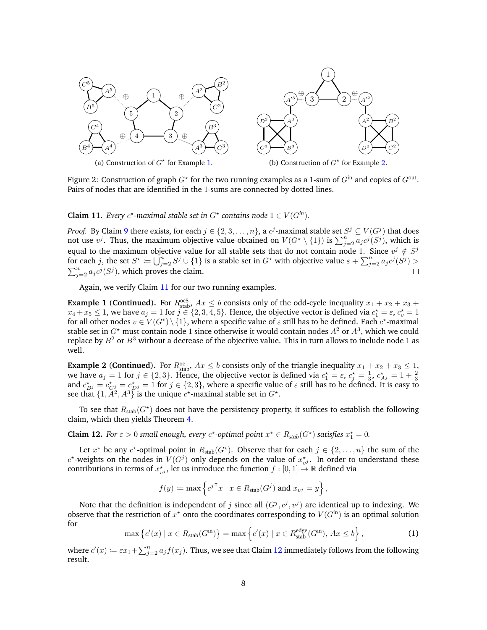

<span id="page-7-1"></span><span id="page-7-0"></span>Figure 2: Construction of graph  $G^{\star}$  for the two running examples as a 1-sum of  $G^{\text{in}}$  and copies of  $G^{\text{out}}$ . Pairs of nodes that are identified in the 1-sums are connected by dotted lines.

**Claim 11.** *Every*  $c^*$ -maximal stable set in  $G^*$  contains node  $1 \in V(G^{in})$ *.* 

*Proof.* By Claim [9](#page-5-0) there exists, for each  $j \in \{2, 3, \ldots, n\}$ , a  $c^j$ -maximal stable set  $S^j \subseteq V(G^j)$  that does not use  $v^j$ . Thus, the maximum objective value obtained on  $V(G^* \setminus \{1\})$  is  $\sum_{j=2}^n a_j c^j (S^j)$ , which is equal to the maximum objective value for all stable sets that do not contain node 1. Since  $v^j \notin S^j$ for each j, the set  $S^\star\coloneqq\bigcup_{j=2}^n S^j\cup\{1\}$  is a stable set in  $G^\star$  with objective value  $\varepsilon+\sum_{j=2}^n a_j c^j (S^j)>0$  $\sum_{j=2}^{n} a_j c^j (S^j)$ , which proves the claim.  $\Box$ 

Again, we verify Claim [11](#page-6-3) for our two running examples.

**Example 1** (**Continued**). For  $R_{\text{stab}}^{\text{occ5}}$ ,  $Ax \leq b$  consists only of the odd-cycle inequality  $x_1 + x_2 + x_3 +$  $x_4+x_5 \leq 1$ , we have  $a_j=1$  for  $j \in \{2,3,4,5\}$ . Hence, the objective vector is defined via  $c_1^{\star}=\varepsilon$ ,  $c_v^{\star}=1$ for all other nodes  $v \in V(G^\star) \setminus \{1\}$ , where a specific value of  $\varepsilon$  still has to be defined. Each  $c^\star$ -maximal stable set in  $G^*$  must contain node 1 since otherwise it would contain nodes  $A^2$  or  $A^3$ , which we could replace by  $B^2$  or  $B^3$  without a decrease of the objective value. This in turn allows to include node 1 as well.

**Example 2** (**Continued**). For  $R_{\text{stab}}^{\text{oc}}$ ,  $Ax \leq b$  consists only of the triangle inequality  $x_1 + x_2 + x_3 \leq 1$ , we have  $a_j = 1$  for  $j \in \{2,3\}$ . Hence, the objective vector is defined via  $c_1^* = \varepsilon$ ,  $c_j^* = \frac{1}{3}$ ,  $c_{Aj}^* = 1 + \frac{2}{3}$ and  $c_{Bj}^* = c_{Cj}^* = c_{Dj}^* = 1$  for  $j \in \{2,3\}$ , where a specific value of  $\varepsilon$  still has to be defined. It is easy to see that  $\{1, \tilde{A}^2, A^3\}$  is the unique  $c^*$ -maximal stable set in  $G^*$ .

To see that  $R_{\text{stab}}(G^{\star})$  does not have the persistency property, it suffices to establish the following claim, which then yields Theorem [4.](#page-3-1)

<span id="page-7-2"></span>**Claim 12.** For  $\varepsilon > 0$  small enough, every  $c^*$ -optimal point  $x^* \in R_{stab}(G^*)$  satisfies  $x_1^* = 0$ .

Let  $x^*$  be any  $c^*$ -optimal point in  $R_{stab}(G^*)$ . Observe that for each  $j \in \{2, \ldots, n\}$  the sum of the  $c^*$ -weights on the nodes in  $V(G^j)$  only depends on the value of  $x^*_{v^j}$ . In order to understand these contributions in terms of  $x_{v,i}^*$ , let us introduce the function  $f : [0,1] \rightarrow \mathbb{R}$  defined via

$$
f(y) \coloneqq \max \left\{ c^{j\mathsf{T}} x \mid x \in R_{\text{stab}}(G^j) \text{ and } x_{v^j} = y \right\},\
$$

Note that the definition is independent of j since all  $(G^j, c^j, v^j)$  are identical up to indexing. We observe that the restriction of  $x^*$  onto the coordinates corresponding to  $V(G<sup>in</sup>)$  is an optimal solution for

<span id="page-7-4"></span>
$$
\max\left\{c'(x) \mid x \in R_{\text{stab}}(G^{\text{in}})\right\} = \max\left\{c'(x) \mid x \in R_{\text{stab}}^{\text{edge}}(G^{\text{in}}), Ax \le b\right\},\tag{1}
$$

<span id="page-7-3"></span>where  $c'(x) \coloneqq \varepsilon x_1 + \sum_{j=2}^n a_j f(x_j)$ . Thus, we see that Claim [12](#page-7-2) immediately follows from the following result.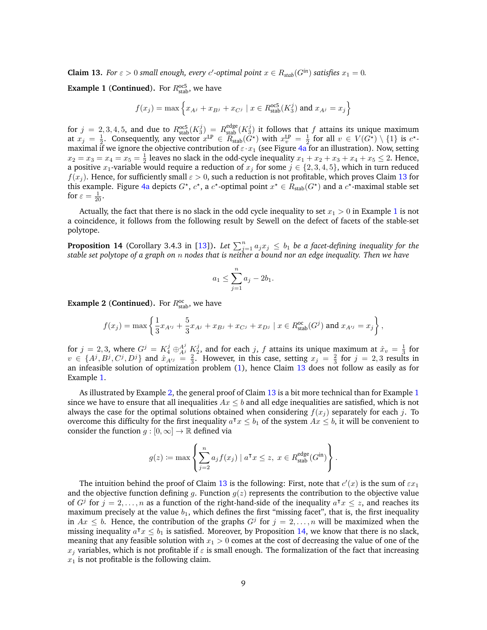**Claim 13.** *For*  $\varepsilon > 0$  *small enough, every c'*-optimal point  $x \in R_{stab}(G^{in})$  *satisfies*  $x_1 = 0$ *.* 

**Example 1 (Continued).** For  $R_{\text{stab}}^{\text{oc5}}$ , we have

$$
f(x_j) = \max \left\{ x_{A^j} + x_{B^j} + x_{C^j} \mid x \in R_{\text{stab}}^{\text{occ5}}(K_3^j) \text{ and } x_{A^j} = x_j \right\}
$$

for  $j = 2, 3, 4, 5$ , and due to  $R_{\text{stab}}^{\text{oc5}}(K_3^j) = R_{\text{stab}}^{\text{edge}}(K_3^j)$  it follows that f attains its unique maximum at  $x_j = \frac{1}{2}$ . Consequently, any vector  $x^{\text{LP}} \in \overline{R}_{\text{stab}}(\tilde{G}^*)$  with  $x^{\text{LP}}_v = \frac{1}{2}$  for all  $v \in V(G^*) \setminus \{1\}$  is  $c^*$ maximal if we ignore the objective contribution of  $\varepsilon \cdot x_1$  (see Figure [4a](#page-10-0) for an illustration). Now, setting  $x_2 = x_3 = x_4 = x_5 = \frac{1}{2}$  leaves no slack in the odd-cycle inequality  $x_1 + x_2 + x_3 + x_4 + x_5 \le 2$ . Hence, a positive x<sub>1</sub>-variable would require a reduction of  $x_j$  for some  $j \in \{2, 3, 4, 5\}$ , which in turn reduced  $f(x_j)$ . Hence, for sufficiently small  $\varepsilon > 0$ , such a reduction is not profitable, which proves Claim [13](#page-7-3) for this example. Figure [4a](#page-10-0) depicts  $G^*$ ,  $c^*$ , a  $c^*$ -optimal point  $x^* \in R_{stab}(G^*)$  and a  $c^*$ -maximal stable set for  $\varepsilon = \frac{1}{20}$ .

Actually, the fact that there is no slack in the odd cycle inequality to set  $x_1 > 0$  $x_1 > 0$  $x_1 > 0$  in Example 1 is not a coincidence, it follows from the following result by Sewell on the defect of facets of the stable-set polytope.

<span id="page-8-0"></span>**Proposition 14** (Corollary 3.4.3 in [\[13\]](#page-13-7)). Let  $\sum_{j=1}^{n} a_j x_j \leq b_1$  be a facet-defining inequality for the *stable set polytope of a graph on* n *nodes that is neither a bound nor an edge inequality. Then we have*

$$
a_1 \le \sum_{j=1}^n a_j - 2b_1.
$$

**Example 2 (Continued).** For  $R_{\text{stab}}^{\text{oc}}$ , we have

$$
f(x_j) = \max\left\{\frac{1}{3}x_{A'^j} + \frac{5}{3}x_{A^j} + x_{B^j} + x_{C^j} + x_{D^j} \mid x \in R_{\text{stab}}^{\text{oc}}(G^j) \text{ and } x_{A'^j} = x_j\right\},\
$$

for  $j = 2, 3$ , where  $G^j = K_4^j \oplus_{A^j}^{A^j} K_2^j$ , and for each j, f attains its unique maximum at  $\hat{x}_v = \frac{1}{3}$  for  $v \in \{A^j, B^j, C^j, D^j\}$  and  $\hat{x}_{A'^j} = \frac{2}{3}$ . However, in this case, setting  $x_j = \frac{2}{3}$  for  $j = 2, 3$  results in an infeasible solution of optimization problem [\(1\)](#page-7-4), hence Claim [13](#page-7-3) does not follow as easily as for Example [1.](#page-4-3)

As illustrated by Example [2,](#page-4-4) the general proof of Claim [13](#page-7-3) is a bit more technical than for Example [1](#page-4-3) since we have to ensure that all inequalities  $Ax \leq b$  and all edge inequalities are satisfied, which is not always the case for the optimal solutions obtained when considering  $f(x_i)$  separately for each j. To overcome this difficulty for the first inequality  $a^{\intercal} x \leq b_1$  of the system  $Ax \leq b$ , it will be convenient to consider the function  $g : [0, \infty] \to \mathbb{R}$  defined via

$$
g(z) \coloneqq \max \left\{ \sum_{j=2}^{n} a_j f(x_j) \mid a^{\mathsf{T}} x \le z, \ x \in R_{\text{stab}}^{\text{edge}}(G^{\text{in}}) \right\}.
$$

<span id="page-8-1"></span>The intuition behind the proof of Claim [13](#page-7-3) is the following: First, note that  $c'(x)$  is the sum of  $\varepsilon x_1$ and the objective function defining g. Function  $g(z)$  represents the contribution to the objective value of  $G^j$  for  $j = 2, \ldots, n$  as a function of the right-hand-side of the inequality  $a^{\intercal} x \leq z$ , and reaches its maximum precisely at the value  $b_1$ , which defines the first "missing facet", that is, the first inequality in  $Ax \leq b$ . Hence, the contribution of the graphs  $G^j$  for  $j = 2, \ldots, n$  will be maximized when the missing inequality  $a^{\intercal} x \leq b_1$  is satisfied. Moreover, by Proposition [14,](#page-8-0) we know that there is no slack, meaning that any feasible solution with  $x_1 > 0$  comes at the cost of decreasing the value of one of the  $x_j$  variables, which is not profitable if  $\varepsilon$  is small enough. The formalization of the fact that increasing  $x_1$  is not profitable is the following claim.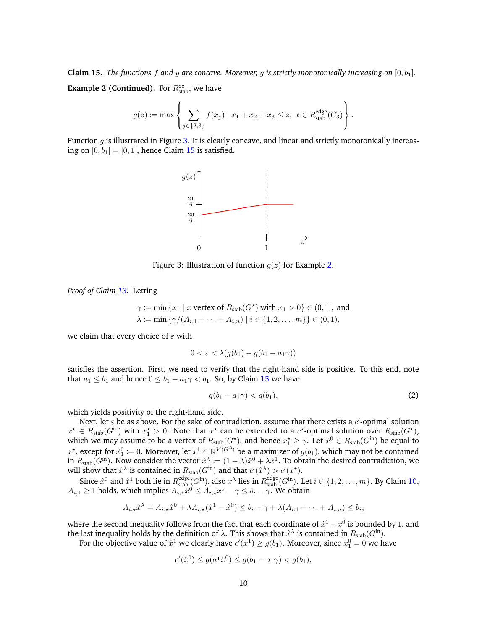**Claim 15.** *The functions* f and g are concave. Moreover, g is strictly monotonically increasing on  $[0, b_1]$ . **Example 2** (**Continued**). For  $R_{\text{stab}}^{\text{oc}}$ , we have

$$
g(z) := \max \left\{ \sum_{j \in \{2,3\}} f(x_j) \mid x_1 + x_2 + x_3 \le z, \ x \in R_{\text{stab}}^{\text{edge}}(C_3) \right\}.
$$

Function  $g$  is illustrated in Figure [3.](#page-9-0) It is clearly concave, and linear and strictly monotonically increasing on  $[0, b_1] = [0, 1]$ , hence Claim [15](#page-8-1) is satisfied.



<span id="page-9-0"></span>Figure 3: Illustration of function  $g(z)$  for Example [2.](#page-4-4)

*Proof of Claim [13.](#page-7-3)* Letting

$$
\gamma := \min \{ x_1 \mid x \text{ vertex of } R_{\text{stab}}(G^*) \text{ with } x_1 > 0 \} \in (0, 1], \text{ and}
$$

$$
\lambda := \min \{ \gamma/(A_{i,1} + \dots + A_{i,n}) \mid i \in \{1, 2, \dots, m\} \} \in (0, 1),
$$

we claim that every choice of  $\varepsilon$  with

$$
0 < \varepsilon < \lambda(g(b_1) - g(b_1 - a_1 \gamma))
$$

satisfies the assertion. First, we need to verify that the right-hand side is positive. To this end, note that  $a_1 \leq b_1$  and hence  $0 \leq b_1 - a_1 \gamma < b_1$ . So, by Claim [15](#page-8-1) we have

<span id="page-9-1"></span>
$$
g(b_1 - a_1 \gamma) < g(b_1),\tag{2}
$$

which yields positivity of the right-hand side.

Next, let  $\varepsilon$  be as above. For the sake of contradiction, assume that there exists a  $c'$ -optimal solution  $x^* \in R_{stab}(G^{in})$  with  $x_1^* > 0$ . Note that  $x^*$  can be extended to a  $c^*$ -optimal solution over  $R_{stab}(G^*),$  $x_1^* > 0$ . Note that x which we may assume to be a vertex of  $R_{stab}(G^{\star})$ , and hence  $x_1^{\star} \geq \gamma$ . Let  $\hat{x}^0 \in R_{stab}(G^{\text{in}})$  be equal to  $x^\star$ , except for  $\hat{x}_1^0\coloneqq 0.$  Moreover, let  $\hat{x}^1\in\mathbb{R}^{V(G^\text{in})}$  be a maximizer of  $g(b_1)$ , which may not be contained in  $R_{stab}(G<sup>in</sup>)$ . Now consider the vector  $\hat{x}^{\lambda} := (1 - \lambda)\hat{x}^0 + \lambda \hat{x}^1$ . To obtain the desired contradiction, we will show that  $\hat{x}^{\lambda}$  is contained in  $R_{\text{stab}}(G^{\text{in}})$  and that  $c'(\hat{x}^{\lambda}) > c'(x^{\star})$ .

Since  $\hat{x}^0$  and  $\hat{x}^1$  both lie in  $R_{\text{stab}}^{\text{edge}}(G^{\text{in}})$ , also  $x^{\lambda}$  lies in  $R_{\text{stab}}^{\text{edge}}(G^{\text{in}})$ . Let  $i \in \{1, 2, ..., m\}$ . By Claim [10,](#page-6-2)  $A_{i,1} \geq 1$  holds, which implies  $A_{i,\star} \hat{x}^0 \leq A_{i,\star} x^{\star} - \gamma \leq b_i - \gamma$ . We obtain

$$
A_{i,\star}\hat{x}^{\lambda} = A_{i,\star}\hat{x}^{0} + \lambda A_{i,\star}(\hat{x}^{1} - \hat{x}^{0}) \leq b_{i} - \gamma + \lambda(A_{i,1} + \dots + A_{i,n}) \leq b_{i},
$$

where the second inequality follows from the fact that each coordinate of  $\hat{x}^1 - \hat{x}^0$  is bounded by 1, and the last inequality holds by the definition of  $\lambda$ . This shows that  $\hat{x}^{\lambda}$  is contained in  $R_{\text{stab}}(G^{\text{in}})$ .

For the objective value of  $\hat{x}^1$  we clearly have  $c'(\hat{x}^1) \geq g(b_1)$ . Moreover, since  $\hat{x}^0_1 = 0$  we have

$$
c'(\hat{x}^0) \le g(a^{\dagger} \hat{x}^0) \le g(b_1 - a_1 \gamma) < g(b_1),
$$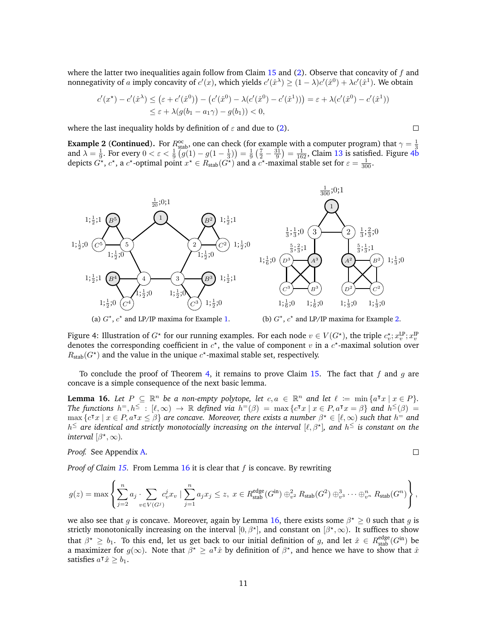where the latter two inequalities again follow from Claim [15](#page-8-1) and [\(2\)](#page-9-1). Observe that concavity of  $f$  and nonnegativity of a imply concavity of  $c'(x)$ , which yields  $c'(\hat{x}^{\lambda}) \geq (1 - \lambda)c'(\hat{x}^0) + \lambda c'(\hat{x}^1)$ . We obtain

$$
c'(x^*) - c'(\hat{x}^{\lambda}) \le (\varepsilon + c'(\hat{x}^0)) - (c'(\hat{x}^0) - \lambda(c'(\hat{x}^0) - c'(\hat{x}^1))) = \varepsilon + \lambda(c'(\hat{x}^0) - c'(\hat{x}^1))
$$
  

$$
\le \varepsilon + \lambda(g(b_1 - a_1\gamma) - g(b_1)) < 0,
$$

where the last inequality holds by definition of  $\varepsilon$  and due to [\(2\)](#page-9-1).

**Example 2 (Continued).** For  $R_{\text{stab}}^{\text{oc}}$ , one can check (for example with a computer program) that  $\gamma = \frac{1}{3}$  and  $\lambda = \frac{1}{9}$ . For every  $0 < \varepsilon < \frac{1}{9} (g(1) - g(1 - \frac{1}{3})) = \frac{1}{9} (\frac{7}{2} - \frac{31}{9}) = \frac{1}{162}$ , Claim [13](#page-7-3) depicts  $G^*$ ,  $c^*$ , a  $c^*$ -optimal point  $x^* \in R_{stab}(G^*)$  and a  $c^*$ -maximal stable set for  $\varepsilon = \frac{1}{300}$ .



<span id="page-10-0"></span>Figure 4: Illustration of  $G^{\star}$  for our running examples. For each node  $v \in V(G^{\star})$ , the triple  $c_v^{\star}; x_v^{\text{LP}}; x_v^{\text{LP}}$ denotes the corresponding coefficient in  $c^*$ , the value of component v in a  $c^*$ -maximal solution over  $R_{\text{stab}}(G^{\star})$  and the value in the unique  $c^{\star}$ -maximal stable set, respectively.

To conclude the proof of Theorem [4,](#page-3-1) it remains to prove Claim [15.](#page-8-1) The fact that f and q are concave is a simple consequence of the next basic lemma.

<span id="page-10-2"></span>**Lemma 16.** Let  $P \subseteq \mathbb{R}^n$  be a non-empty polytope, let  $c, a \in \mathbb{R}^n$  and let  $\ell := \min \{a^\intercal x \mid x \in P\}$ . *The functions*  $h^=$ ,  $h^{\leq}$  :  $[\ell, \infty) \to \mathbb{R}$  *defined via*  $h^=(\beta) = \max{\lbrace c^{\intercal}x \mid x \in P, a^{\intercal}x = \beta \rbrace}$  *and*  $h^{\leq}(\beta) =$  $\max \{c^\intercal x \mid x \in P, a^\intercal x \leq \beta\}$  are concave. Moreover, there exists a number  $\beta^\star \in [\ell, \infty)$  such that  $h^{\pm}$  and  $h^{\leq}$  are identical and strictly monotocially increasing on the interval  $[\ell, \beta^{\star}]$ , and  $h^{\leq}$  is constant on the *interval*  $[\beta^*, \infty)$ *.* 

*Proof.* See Appendix [A.](#page-13-5)

*Proof of Claim [15.](#page-8-1)* From Lemma [16](#page-10-2) it is clear that f is concave. By rewriting

$$
g(z) = \max \left\{ \sum_{j=2}^{n} a_j \cdot \sum_{v \in V(G^j)} c_v^j x_v \mid \sum_{j=1}^{n} a_j x_j \leq z, \ x \in R_{\text{stab}}^{\text{edge}}(G^{\text{in}}) \oplus_{v^2}^2 R_{\text{stab}}(G^2) \oplus_{v^3}^3 \cdots \oplus_{v^n}^n R_{\text{stab}}(G^n) \right\},
$$

we also see that g is concave. Moreover, again by Lemma [16,](#page-10-2) there exists some  $\beta^* \geq 0$  such that g is strictly monotonically increasing on the interval  $[0, \beta^*]$ , and constant on  $[\beta^*, \infty)$ . It suffices to show that  $\beta^* \ge b_1$ . To this end, let us get back to our initial definition of g, and let  $\hat{x} \in R_{stab}^{edge}(G^{\text{in}})$  be a maximizer for  $g(\infty)$ . Note that  $\beta^* \ge a^T \hat{x}$  by definition of  $\beta^*$ , and hence we have to show that  $\hat{x}$ satisfies  $a^{\dagger} \hat{x} \geq b_1$ .

 $\Box$ 

<span id="page-10-1"></span> $\Box$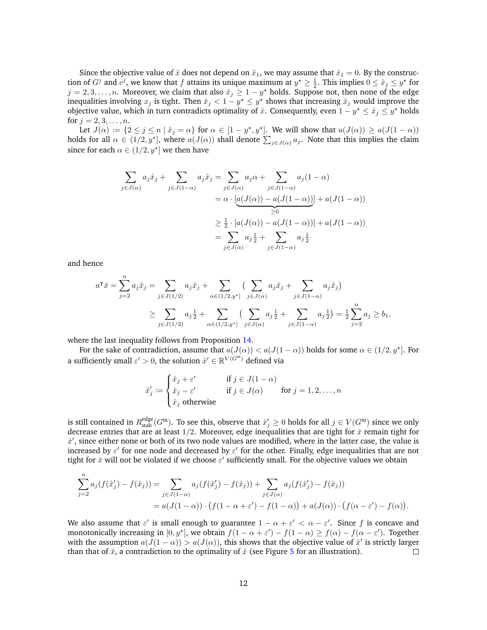Since the objective value of  $\hat{x}$  does not depend on  $\hat{x}_1$ , we may assume that  $\hat{x}_1 = 0$ . By the construction of  $G^j$  and  $c^j$ , we know that f attains its unique maximum at  $y^* \ge \frac{1}{2}$ . This implies  $0 \le \hat{x}_j \le y^*$  for  $j = 2, 3, \ldots, n$ . Moreover, we claim that also  $\hat{x}_j \ge 1 - y^\star$  holds. Suppose not, then none of the edge inequalities involving  $x_j$  is tight. Then  $\hat{x}_j < 1 - y^\star \leq y^\star$  shows that increasing  $\hat{x}_j$  would improve the objective value, which in turn contradicts optimality of  $\hat{x}$ . Consequently, even  $1 - y^* \leq \hat{x}_j \leq y^*$  holds for  $j = 2, 3, ..., n$ .

Let  $J(\alpha) \coloneqq \{2 \leq j \leq n \mid \hat{x}_j = \alpha\}$  for  $\alpha \in [1 - y^*, y^*]$ . We will show that  $a(J(\alpha)) \geq a(J(1 - \alpha))$ holds for all  $\alpha \in (1/2, y^*]$ , where  $a(J(\alpha))$  shall denote  $\sum_{j \in J(\alpha)} a_j$ . Note that this implies the claim since for each  $\alpha \in (1/2, y^{\star}]$  we then have

$$
\sum_{j \in J(\alpha)} a_j \hat{x}_j + \sum_{j \in J(1-\alpha)} a_j \hat{x}_j = \sum_{j \in J(\alpha)} a_j \alpha + \sum_{j \in J(1-\alpha)} a_j (1-\alpha)
$$

$$
= \alpha \cdot \underbrace{[a(J(\alpha)) - a(J(1-\alpha))]}_{\geq 0} + a(J(1-\alpha))
$$

$$
\geq \frac{1}{2} \cdot [a(J(\alpha)) - a(J(1-\alpha))] + a(J(1-\alpha))
$$

$$
= \sum_{j \in J(\alpha)} a_j \frac{1}{2} + \sum_{j \in J(1-\alpha)} a_j \frac{1}{2}
$$

and hence

$$
a^{\mathsf{T}}\hat{x} = \sum_{j=2}^{n} a_j \hat{x}_j = \sum_{j \in J(1/2)} a_j \hat{x}_j + \sum_{\alpha \in (1/2, y^*]} \left( \sum_{j \in J(\alpha)} a_j \hat{x}_j + \sum_{j \in J(1-\alpha)} a_j \hat{x}_j \right)
$$
  
 
$$
\geq \sum_{j \in J(1/2)} a_j \frac{1}{2} + \sum_{\alpha \in (1/2, y^*]} \left( \sum_{j \in J(\alpha)} a_j \frac{1}{2} + \sum_{j \in J(1-\alpha)} a_j \frac{1}{2} \right) = \frac{1}{2} \sum_{j=2}^{n} a_j \geq b_1,
$$

where the last inequality follows from Proposition [14.](#page-8-0)

For the sake of contradiction, assume that  $a(J(\alpha)) < a(J(1-\alpha))$  holds for some  $\alpha \in (1/2, y^*]$ . For a sufficiently small  $\varepsilon' > 0$ , the solution  $\hat{x}' \in \mathbb{R}^{V(G^{\text{in}})}$  defined via

$$
\hat{x}'_j \coloneqq \begin{cases} \hat{x}_j + \varepsilon' & \text{if } j \in J(1 - \alpha) \\ \hat{x}_j - \varepsilon' & \text{if } j \in J(\alpha) \end{cases} \quad \text{for } j = 1, 2, \dots, n
$$
  

$$
\hat{x}_j \text{ otherwise}
$$

is still contained in  $R_{\text{stab}}^{\text{edge}}(G^{\text{in}})$ . To see this, observe that  $\hat{x}'_j \geq 0$  holds for all  $j \in V(G^{\text{in}})$  since we only decrease entries that are at least  $1/2$ . Moreover, edge inequalities that are tight for  $\hat{x}$  remain tight for  $\hat{x}'$ , since either none or both of its two node values are modified, where in the latter case, the value is increased by  $\varepsilon'$  for one node and decreased by  $\varepsilon'$  for the other. Finally, edge inequalities that are not tight for  $\hat{x}$  will not be violated if we choose  $\varepsilon'$  sufficiently small. For the objective values we obtain

$$
\sum_{j=2}^{n} a_j (f(\hat{x}'_j) - f(\hat{x}_j)) = \sum_{j \in J(1-\alpha)} a_j (f(\hat{x}'_j) - f(\hat{x}_j)) + \sum_{j \in J(\alpha)} a_j (f(\hat{x}'_j) - f(\hat{x}_j))
$$
  
=  $a(J(1-\alpha)) \cdot (f(1-\alpha+\varepsilon') - f(1-\alpha)) + a(J(\alpha)) \cdot (f(\alpha-\varepsilon') - f(\alpha)).$ 

We also assume that  $\varepsilon'$  is small enough to guarantee  $1 - \alpha + \varepsilon' < \alpha - \varepsilon'$ . Since f is concave and monotonically increasing in  $[0, y^*]$ , we obtain  $f(1 - \alpha + \varepsilon') - f(1 - \alpha) \ge f(\alpha) - f(\alpha - \varepsilon')$ . Together with the assumption  $a(J(1-\alpha)) > a(J(\alpha))$ , this shows that the objective value of  $\hat{x}$ ' is strictly larger than that of  $\hat{x}$ , a contradiction to the optimality of  $\hat{x}$  (see Figure [5](#page-12-7) for an illustration).  $\Box$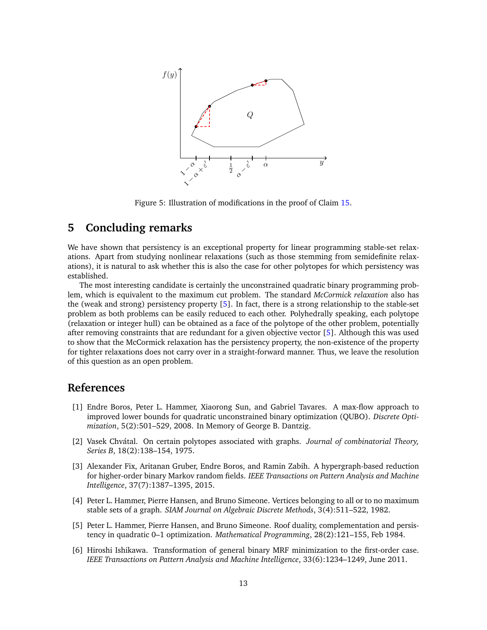

<span id="page-12-7"></span>Figure 5: Illustration of modifications in the proof of Claim [15.](#page-8-1)

# <span id="page-12-4"></span>**5 Concluding remarks**

We have shown that persistency is an exceptional property for linear programming stable-set relaxations. Apart from studying nonlinear relaxations (such as those stemming from semidefinite relaxations), it is natural to ask whether this is also the case for other polytopes for which persistency was established.

The most interesting candidate is certainly the unconstrained quadratic binary programming problem, which is equivalent to the maximum cut problem. The standard *McCormick relaxation* also has the (weak and strong) persistency property [\[5\]](#page-12-0). In fact, there is a strong relationship to the stable-set problem as both problems can be easily reduced to each other. Polyhedrally speaking, each polytope (relaxation or integer hull) can be obtained as a face of the polytope of the other problem, potentially after removing constraints that are redundant for a given objective vector [\[5\]](#page-12-0). Although this was used to show that the McCormick relaxation has the persistency property, the non-existence of the property for tighter relaxations does not carry over in a straight-forward manner. Thus, we leave the resolution of this question as an open problem.

## **References**

- <span id="page-12-1"></span>[1] Endre Boros, Peter L. Hammer, Xiaorong Sun, and Gabriel Tavares. A max-flow approach to improved lower bounds for quadratic unconstrained binary optimization (QUBO). *Discrete Optimization*, 5(2):501–529, 2008. In Memory of George B. Dantzig.
- <span id="page-12-5"></span>[2] Vasek Chvátal. On certain polytopes associated with graphs. *Journal of combinatorial Theory*, *Series B*, 18(2):138–154, 1975.
- <span id="page-12-3"></span>[3] Alexander Fix, Aritanan Gruber, Endre Boros, and Ramin Zabih. A hypergraph-based reduction for higher-order binary Markov random fields. *IEEE Transactions on Pattern Analysis and Machine Intelligence*, 37(7):1387–1395, 2015.
- <span id="page-12-6"></span>[4] Peter L. Hammer, Pierre Hansen, and Bruno Simeone. Vertices belonging to all or to no maximum stable sets of a graph. *SIAM Journal on Algebraic Discrete Methods*, 3(4):511–522, 1982.
- <span id="page-12-0"></span>[5] Peter L. Hammer, Pierre Hansen, and Bruno Simeone. Roof duality, complementation and persistency in quadratic 0–1 optimization. *Mathematical Programming*, 28(2):121–155, Feb 1984.
- <span id="page-12-2"></span>[6] Hiroshi Ishikawa. Transformation of general binary MRF minimization to the first-order case. *IEEE Transactions on Pattern Analysis and Machine Intelligence*, 33(6):1234–1249, June 2011.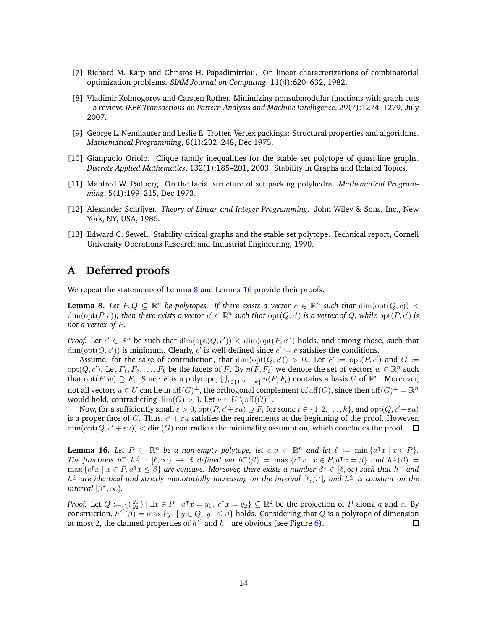- <span id="page-13-4"></span>[7] Richard M. Karp and Christos H. Papadimitriou. On linear characterizations of combinatorial optimization problems. *SIAM Journal on Computing*, 11(4):620–632, 1982.
- <span id="page-13-1"></span>[8] Vladimir Kolmogorov and Carsten Rother. Minimizing nonsubmodular functions with graph cuts – a review. *IEEE Transactions on Pattern Analysis and Machine Intelligence*, 29(7):1274–1279, July 2007.
- <span id="page-13-0"></span>[9] George L. Nemhauser and Leslie E. Trotter. Vertex packings: Structural properties and algorithms. *Mathematical Programming*, 8(1):232–248, Dec 1975.
- <span id="page-13-3"></span>[10] Gianpaolo Oriolo. Clique family inequalities for the stable set polytope of quasi-line graphs. *Discrete Applied Mathematics*, 132(1):185–201, 2003. Stability in Graphs and Related Topics.
- <span id="page-13-2"></span>[11] Manfred W. Padberg. On the facial structure of set packing polyhedra. *Mathematical Programming*, 5(1):199–215, Dec 1973.
- <span id="page-13-6"></span>[12] Alexander Schrijver. *Theory of Linear and Integer Programming*. John Wiley & Sons, Inc., New York, NY, USA, 1986.
- <span id="page-13-7"></span>[13] Edward C. Sewell. Stability critical graphs and the stable set polytope. Technical report, Cornell University Operations Research and Industrial Engineering, 1990.

## <span id="page-13-5"></span>**A Deferred proofs**

We repeat the statements of Lemma  $8$  and Lemma  $16$  provide their proofs.

**Lemma 8.** Let  $P, Q \subseteq \mathbb{R}^n$  be polytopes. If there exists a vector  $c \in \mathbb{R}^n$  such that  $\dim(\text{opt}(Q, c)) <$  $\dim(\text{opt}(P, c))$ , then there exists a vector  $c' \in \mathbb{R}^n$  such that  $\text{opt}(Q, c')$  is a vertex of Q, while  $\text{opt}(P, c')$  is *not a vertex of* P*.*

*Proof.* Let  $c' \in \mathbb{R}^n$  be such that  $\dim(\text{opt}(Q, c')) < \dim(\text{opt}(P, c'))$  holds, and among those, such that  $\dim(\text{opt}(Q, c'))$  is minimum. Clearly, c' is well-defined since  $c' := c$  satisfies the conditions.

Assume, for the sake of contradiction, that  $\dim(\text{opt}(Q, c')) > 0$ . Let  $F := \text{opt}(P, c')$  and  $G :=$  $opt(Q, c')$ . Let  $F_1, F_2, \ldots, F_k$  be the facets of F. By  $n(F, F_i)$  we denote the set of vectors  $w \in \mathbb{R}^n$  such that  $opt(F, w) \supseteq F_i$ . Since F is a polytope,  $\bigcup_{i \in \{1, 2, ..., k\}} n(F, F_i)$  contains a basis U of  $\mathbb{R}^n$ . Moreover, not all vectors  $u \in U$  can lie in aff $(G)^{\perp}$ , the orthogonal complement of aff $(G)$ , since then aff $(G)^{\perp} = \mathbb{R}^n$ would hold, contradicting  $\dim(G) > 0$ . Let  $u \in U \setminus \text{aff}(G)^{\perp}$ .

Now, for a sufficiently small  $\varepsilon > 0$ ,  $\mathrm{opt}(P, c'+\varepsilon u) \supset F_i$  for some  $i \in \{1, 2, \ldots, k\}$ , and  $\mathrm{opt}(Q, c'+\varepsilon u)$ is a proper face of G. Thus,  $c' + \varepsilon u$  satisfies the requirements at the beginning of the proof. However,  $\dim(\text{opt}(Q, c' + \varepsilon u)) < \dim(G)$  contradicts the minimality assumption, which concludes the proof.  $\Box$ 

**Lemma 16.** Let  $P \subseteq \mathbb{R}^n$  be a non-empty polytope, let  $c, a \in \mathbb{R}^n$  and let  $\ell := \min \{a^\intercal x \mid x \in P\}$ . *The functions*  $h^=, h^{\le} : [\ell, \infty) \to \mathbb{R}$  *defined via*  $h^=(\beta) = \max \{c^{\intercal}x \mid x \in P, a^{\intercal}x = \beta\}$  *and*  $h^{\leq}(\beta) =$  $\max \{c^\intercal x \mid x \in P, a^\intercal x \leq \beta\}$  are concave. Moreover, there exists a number  $\beta^\star \in [\ell, \infty)$  such that  $h^{\pm}$  and  $h^{\leq}$  are identical and strictly monotocially increasing on the interval  $[\ell, \beta^{\star}]$ , and  $h^{\leq}$  is constant on the *interval*  $[\beta^*, \infty)$ *.* 

*Proof.* Let  $Q := \{(\begin{smallmatrix} y_1 \\ y_2 \end{smallmatrix}) \mid \exists x \in P : a^{\intercal}x = y_1, c^{\intercal}x = y_2\} \subseteq \mathbb{R}^2$  be the projection of P along a and c. By construction,  $h^{\leq}(\beta) = \max\{y_2 \mid y \in Q, y_1 \leq \beta\}$  holds. Considering that  $Q$  is a polytope of dimension at most 2, the claimed properties of  $h^{\le}$  and  $h^=$  are obvious (see Figure [6\)](#page-14-0).  $\Box$